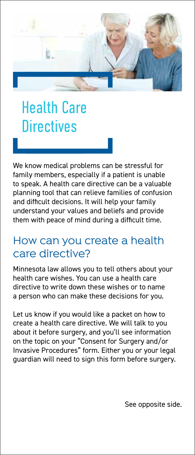

## Health Care **Directives**

We know medical problems can be stressful for family members, especially if a patient is unable to speak. A health care directive can be a valuable planning tool that can relieve families of confusion and difficult decisions. It will help your family understand your values and beliefs and provide them with peace of mind during a difficult time.

## How can you create a health care directive?

Minnesota law allows you to tell others about your health care wishes. You can use a health care directive to write down these wishes or to name a person who can make these decisions for you.

Let us know if you would like a packet on how to create a health care directive. We will talk to you about it before surgery, and you'll see information on the topic on your "Consent for Surgery and/or Invasive Procedures" form. Either you or your legal guardian will need to sign this form before surgery.

See opposite side.